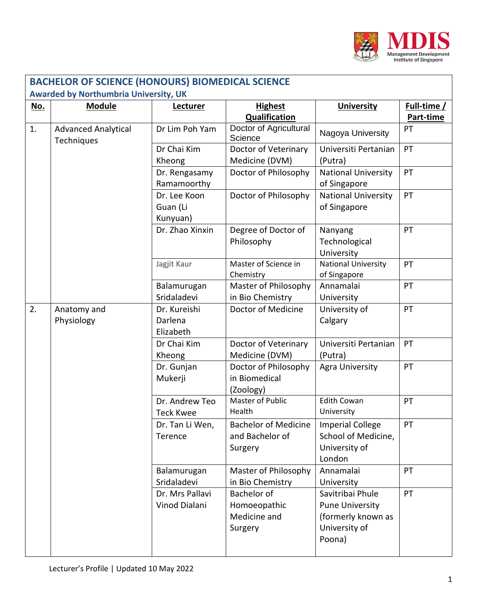

|            | <b>BACHELOR OF SCIENCE (HONOURS) BIOMEDICAL SCIENCE</b><br><b>Awarded by Northumbria University, UK</b> |                                         |                                                           |                                                                                             |                          |  |  |
|------------|---------------------------------------------------------------------------------------------------------|-----------------------------------------|-----------------------------------------------------------|---------------------------------------------------------------------------------------------|--------------------------|--|--|
| <u>No.</u> | <b>Module</b>                                                                                           | Lecturer                                | <b>Highest</b><br>Qualification                           | <b>University</b>                                                                           | Full-time /<br>Part-time |  |  |
| 1.         | <b>Advanced Analytical</b><br>Techniques                                                                | Dr Lim Poh Yam                          | Doctor of Agricultural<br>Science                         | Nagoya University                                                                           | PT                       |  |  |
|            |                                                                                                         | Dr Chai Kim<br>Kheong                   | Doctor of Veterinary<br>Medicine (DVM)                    | Universiti Pertanian<br>(Putra)                                                             | PT                       |  |  |
|            |                                                                                                         | Dr. Rengasamy<br>Ramamoorthy            | Doctor of Philosophy                                      | <b>National University</b><br>of Singapore                                                  | PT                       |  |  |
|            |                                                                                                         | Dr. Lee Koon<br>Guan (Li<br>Kunyuan)    | Doctor of Philosophy                                      | <b>National University</b><br>of Singapore                                                  | PT                       |  |  |
|            |                                                                                                         | Dr. Zhao Xinxin                         | Degree of Doctor of<br>Philosophy                         | Nanyang<br>Technological<br>University                                                      | PT                       |  |  |
|            |                                                                                                         | Jagjit Kaur                             | Master of Science in<br>Chemistry                         | <b>National University</b><br>of Singapore                                                  | PT                       |  |  |
|            |                                                                                                         | Balamurugan<br>Sridaladevi              | Master of Philosophy<br>in Bio Chemistry                  | Annamalai<br>University                                                                     | PT                       |  |  |
| 2.         | Anatomy and<br>Physiology                                                                               | Dr. Kureishi<br>Darlena<br>Elizabeth    | Doctor of Medicine                                        | University of<br>Calgary                                                                    | PT                       |  |  |
|            |                                                                                                         | Dr Chai Kim<br>Kheong                   | Doctor of Veterinary<br>Medicine (DVM)                    | Universiti Pertanian<br>(Putra)                                                             | PT                       |  |  |
|            |                                                                                                         | Dr. Gunjan<br>Mukerji                   | Doctor of Philosophy<br>in Biomedical<br>(Zoology)        | <b>Agra University</b>                                                                      | PT                       |  |  |
|            |                                                                                                         | Dr. Andrew Teo<br><b>Teck Kwee</b>      | Master of Public<br>Health                                | <b>Edith Cowan</b><br>University                                                            | PT                       |  |  |
|            |                                                                                                         | Dr. Tan Li Wen,<br>Terence              | <b>Bachelor of Medicine</b><br>and Bachelor of<br>Surgery | <b>Imperial College</b><br>School of Medicine,<br>University of<br>London                   | PT                       |  |  |
|            |                                                                                                         | Balamurugan<br>Sridaladevi              | Master of Philosophy<br>in Bio Chemistry                  | Annamalai<br>University                                                                     | PT                       |  |  |
|            |                                                                                                         | Dr. Mrs Pallavi<br><b>Vinod Dialani</b> | Bachelor of<br>Homoeopathic<br>Medicine and<br>Surgery    | Savitribai Phule<br><b>Pune University</b><br>(formerly known as<br>University of<br>Poona) | PT                       |  |  |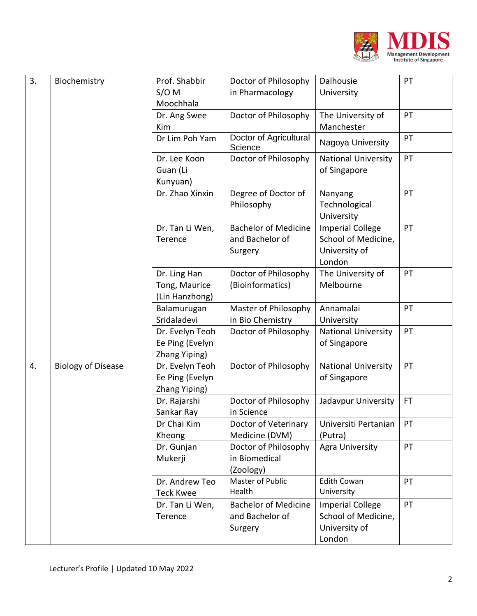

| 3. | Biochemistry              | Prof. Shabbir    | Doctor of Philosophy              | Dalhousie                              | PT  |
|----|---------------------------|------------------|-----------------------------------|----------------------------------------|-----|
|    |                           | $S/O$ M          | in Pharmacology                   | University                             |     |
|    |                           | Moochhala        |                                   |                                        |     |
|    |                           | Dr. Ang Swee     | Doctor of Philosophy              | The University of                      | PT  |
|    |                           | Kim              |                                   | Manchester                             |     |
|    |                           | Dr Lim Poh Yam   | Doctor of Agricultural<br>Science | Nagoya University                      | PT  |
|    |                           | Dr. Lee Koon     | Doctor of Philosophy              | <b>National University</b>             | PT  |
|    |                           | Guan (Li         |                                   | of Singapore                           |     |
|    |                           | Kunyuan)         |                                   |                                        |     |
|    |                           | Dr. Zhao Xinxin  | Degree of Doctor of<br>Philosophy | Nanyang<br>Technological<br>University | PT  |
|    |                           | Dr. Tan Li Wen,  | <b>Bachelor of Medicine</b>       | <b>Imperial College</b>                | PT  |
|    |                           | Terence          | and Bachelor of                   | School of Medicine,                    |     |
|    |                           |                  | Surgery                           | University of                          |     |
|    |                           |                  |                                   | London                                 |     |
|    |                           | Dr. Ling Han     | Doctor of Philosophy              | The University of                      | PT  |
|    |                           | Tong, Maurice    | (Bioinformatics)                  | Melbourne                              |     |
|    |                           | (Lin Hanzhong)   |                                   |                                        |     |
|    |                           | Balamurugan      | Master of Philosophy              | Annamalai                              | PT  |
|    |                           | Sridaladevi      | in Bio Chemistry                  | University                             |     |
|    |                           | Dr. Evelyn Teoh  | Doctor of Philosophy              | <b>National University</b>             | PT  |
|    |                           | Ee Ping (Evelyn  |                                   | of Singapore                           |     |
|    |                           | Zhang Yiping)    |                                   |                                        |     |
| 4. | <b>Biology of Disease</b> | Dr. Evelyn Teoh  | Doctor of Philosophy              | <b>National University</b>             | PT  |
|    |                           | Ee Ping (Evelyn  |                                   | of Singapore                           |     |
|    |                           | Zhang Yiping)    |                                   |                                        |     |
|    |                           | Dr. Rajarshi     | Doctor of Philosophy              | Jadavpur University                    | FT. |
|    |                           | Sankar Ray       | in Science                        |                                        |     |
|    |                           | Dr Chai Kim      | Doctor of Veterinary              | Universiti Pertanian                   | PT  |
|    |                           | Kheong           | Medicine (DVM)                    | (Putra)                                |     |
|    |                           | Dr. Gunjan       | Doctor of Philosophy              | <b>Agra University</b>                 | PT  |
|    |                           | Mukerji          | in Biomedical                     |                                        |     |
|    |                           |                  | (Zoology)                         |                                        |     |
|    |                           | Dr. Andrew Teo   | Master of Public                  | <b>Edith Cowan</b>                     | PT  |
|    |                           | <b>Teck Kwee</b> | Health                            | University                             |     |
|    |                           | Dr. Tan Li Wen,  | <b>Bachelor of Medicine</b>       | <b>Imperial College</b>                | PT  |
|    |                           | Terence          | and Bachelor of                   | School of Medicine,                    |     |
|    |                           |                  | Surgery                           | University of                          |     |
|    |                           |                  |                                   | London                                 |     |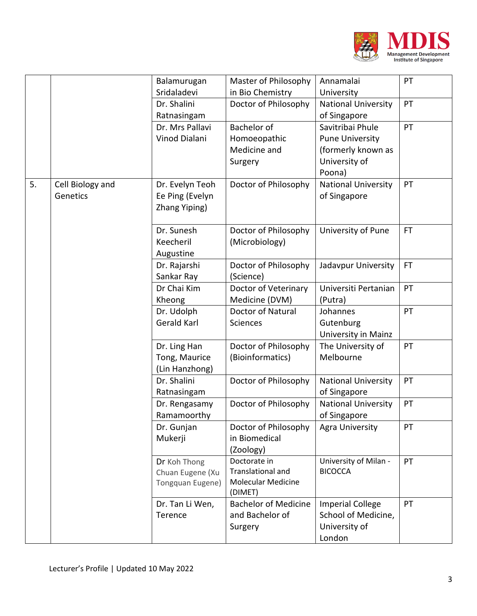

|    |                  | Balamurugan      | Master of Philosophy                           | Annamalai                  | PT        |
|----|------------------|------------------|------------------------------------------------|----------------------------|-----------|
|    |                  | Sridaladevi      | in Bio Chemistry                               | University                 |           |
|    |                  | Dr. Shalini      | Doctor of Philosophy                           | <b>National University</b> | PT        |
|    |                  | Ratnasingam      |                                                | of Singapore               |           |
|    |                  | Dr. Mrs Pallavi  | Bachelor of                                    | Savitribai Phule           | PT        |
|    |                  | Vinod Dialani    | Homoeopathic                                   | <b>Pune University</b>     |           |
|    |                  |                  | Medicine and                                   | (formerly known as         |           |
|    |                  |                  | Surgery                                        | University of              |           |
|    |                  |                  |                                                | Poona)                     |           |
| 5. | Cell Biology and | Dr. Evelyn Teoh  | Doctor of Philosophy                           | <b>National University</b> | PT        |
|    | Genetics         | Ee Ping (Evelyn  |                                                | of Singapore               |           |
|    |                  | Zhang Yiping)    |                                                |                            |           |
|    |                  |                  |                                                |                            |           |
|    |                  | Dr. Sunesh       | Doctor of Philosophy                           | University of Pune         | <b>FT</b> |
|    |                  | Keecheril        | (Microbiology)                                 |                            |           |
|    |                  | Augustine        |                                                |                            |           |
|    |                  | Dr. Rajarshi     | Doctor of Philosophy                           | Jadavpur University        | <b>FT</b> |
|    |                  | Sankar Ray       | (Science)                                      |                            |           |
|    |                  | Dr Chai Kim      | Doctor of Veterinary                           | Universiti Pertanian       | PT        |
|    |                  | Kheong           | Medicine (DVM)                                 | (Putra)                    |           |
|    |                  | Dr. Udolph       | <b>Doctor of Natural</b>                       | Johannes                   | PT        |
|    |                  | Gerald Karl      | Sciences                                       | Gutenburg                  |           |
|    |                  |                  |                                                | University in Mainz        |           |
|    |                  | Dr. Ling Han     | Doctor of Philosophy                           | The University of          | PT        |
|    |                  | Tong, Maurice    | (Bioinformatics)                               | Melbourne                  |           |
|    |                  | (Lin Hanzhong)   |                                                |                            |           |
|    |                  | Dr. Shalini      | Doctor of Philosophy                           | <b>National University</b> | PT        |
|    |                  | Ratnasingam      |                                                | of Singapore               |           |
|    |                  | Dr. Rengasamy    | Doctor of Philosophy                           | <b>National University</b> | PT        |
|    |                  | Ramamoorthy      |                                                | of Singapore               |           |
|    |                  | Dr. Gunjan       | Doctor of Philosophy                           | <b>Agra University</b>     | PT        |
|    |                  | Mukerji          | in Biomedical                                  |                            |           |
|    |                  |                  | (Zoology)                                      |                            |           |
|    |                  | Dr Koh Thong     | Doctorate in                                   | University of Milan -      | PT        |
|    |                  | Chuan Eugene (Xu | Translational and<br><b>Molecular Medicine</b> | <b>BICOCCA</b>             |           |
|    |                  | Tongquan Eugene) | (DIMET)                                        |                            |           |
|    |                  | Dr. Tan Li Wen,  | <b>Bachelor of Medicine</b>                    | <b>Imperial College</b>    | PT        |
|    |                  | Terence          | and Bachelor of                                | School of Medicine,        |           |
|    |                  |                  | Surgery                                        | University of              |           |
|    |                  |                  |                                                | London                     |           |
|    |                  |                  |                                                |                            |           |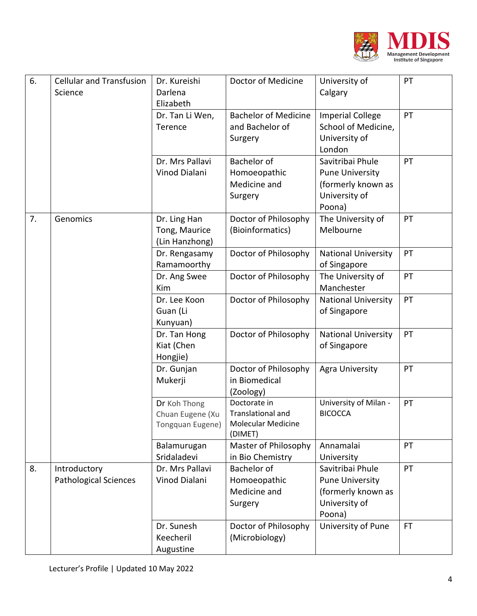

| 6. | <b>Cellular and Transfusion</b>              | Dr. Kureishi                                         | Doctor of Medicine                                                        | University of                                                                               | PT  |
|----|----------------------------------------------|------------------------------------------------------|---------------------------------------------------------------------------|---------------------------------------------------------------------------------------------|-----|
|    | Science                                      | Darlena                                              |                                                                           | Calgary                                                                                     |     |
|    |                                              | Elizabeth                                            |                                                                           |                                                                                             |     |
|    |                                              | Dr. Tan Li Wen,<br>Terence                           | <b>Bachelor of Medicine</b><br>and Bachelor of<br>Surgery                 | <b>Imperial College</b><br>School of Medicine,<br>University of<br>London                   | PT  |
|    |                                              | Dr. Mrs Pallavi<br>Vinod Dialani                     | Bachelor of<br>Homoeopathic<br>Medicine and<br>Surgery                    | Savitribai Phule<br><b>Pune University</b><br>(formerly known as<br>University of<br>Poona) | PT  |
| 7. | Genomics                                     | Dr. Ling Han<br>Tong, Maurice<br>(Lin Hanzhong)      | Doctor of Philosophy<br>(Bioinformatics)                                  | The University of<br>Melbourne                                                              | PT  |
|    |                                              | Dr. Rengasamy<br>Ramamoorthy                         | Doctor of Philosophy                                                      | <b>National University</b><br>of Singapore                                                  | PT  |
|    |                                              | Dr. Ang Swee<br>Kim                                  | Doctor of Philosophy                                                      | The University of<br>Manchester                                                             | PT  |
|    |                                              | Dr. Lee Koon<br>Guan (Li<br>Kunyuan)                 | Doctor of Philosophy                                                      | <b>National University</b><br>of Singapore                                                  | PT  |
|    |                                              | Dr. Tan Hong<br>Kiat (Chen<br>Hongjie)               | Doctor of Philosophy                                                      | <b>National University</b><br>of Singapore                                                  | PT  |
|    |                                              | Dr. Gunjan<br>Mukerji                                | Doctor of Philosophy<br>in Biomedical<br>(Zoology)                        | Agra University                                                                             | PT  |
|    |                                              | Dr Koh Thong<br>Chuan Eugene (Xu<br>Tongquan Eugene) | Doctorate in<br>Translational and<br><b>Molecular Medicine</b><br>(DIMET) | University of Milan -<br><b>BICOCCA</b>                                                     | PT  |
|    |                                              | Balamurugan<br>Sridaladevi                           | Master of Philosophy<br>in Bio Chemistry                                  | Annamalai<br>University                                                                     | PT  |
| 8. | Introductory<br><b>Pathological Sciences</b> | Dr. Mrs Pallavi<br>Vinod Dialani                     | Bachelor of<br>Homoeopathic<br>Medicine and<br>Surgery                    | Savitribai Phule<br><b>Pune University</b><br>(formerly known as<br>University of<br>Poona) | PT  |
|    |                                              | Dr. Sunesh<br>Keecheril<br>Augustine                 | Doctor of Philosophy<br>(Microbiology)                                    | University of Pune                                                                          | FT. |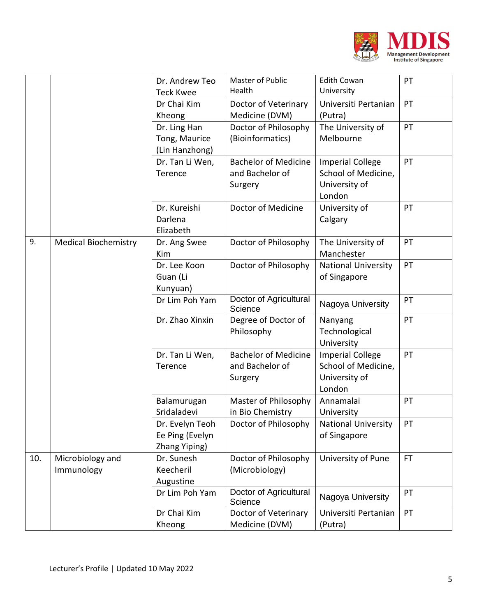

|     |                                | Dr. Andrew Teo<br><b>Teck Kwee</b>                  | Master of Public<br>Health                                | <b>Edith Cowan</b><br>University                                          | PT  |
|-----|--------------------------------|-----------------------------------------------------|-----------------------------------------------------------|---------------------------------------------------------------------------|-----|
|     |                                | Dr Chai Kim<br>Kheong                               | Doctor of Veterinary<br>Medicine (DVM)                    | Universiti Pertanian<br>(Putra)                                           | PT  |
|     |                                | Dr. Ling Han<br>Tong, Maurice<br>(Lin Hanzhong)     | Doctor of Philosophy<br>(Bioinformatics)                  | The University of<br>Melbourne                                            | PT  |
|     |                                | Dr. Tan Li Wen,<br>Terence                          | <b>Bachelor of Medicine</b><br>and Bachelor of<br>Surgery | <b>Imperial College</b><br>School of Medicine,<br>University of<br>London | PT  |
|     |                                | Dr. Kureishi<br>Darlena<br>Elizabeth                | Doctor of Medicine                                        | University of<br>Calgary                                                  | PT  |
| 9.  | <b>Medical Biochemistry</b>    | Dr. Ang Swee<br>Kim                                 | Doctor of Philosophy                                      | The University of<br>Manchester                                           | PT  |
|     |                                | Dr. Lee Koon<br>Guan (Li<br>Kunyuan)                | Doctor of Philosophy                                      | <b>National University</b><br>of Singapore                                | PT  |
|     |                                | Dr Lim Poh Yam                                      | Doctor of Agricultural<br>Science                         | Nagoya University                                                         | PT  |
|     |                                | Dr. Zhao Xinxin                                     | Degree of Doctor of<br>Philosophy                         | Nanyang<br>Technological<br>University                                    | PT  |
|     |                                | Dr. Tan Li Wen,<br>Terence                          | <b>Bachelor of Medicine</b><br>and Bachelor of<br>Surgery | <b>Imperial College</b><br>School of Medicine,<br>University of<br>London | PT  |
|     |                                | Balamurugan<br>Sridaladevi                          | Master of Philosophy<br>in Bio Chemistry                  | Annamalai<br>University                                                   | PT  |
|     |                                | Dr. Evelyn Teoh<br>Ee Ping (Evelyn<br>Zhang Yiping) | Doctor of Philosophy                                      | National University<br>of Singapore                                       | PT  |
| 10. | Microbiology and<br>Immunology | Dr. Sunesh<br>Keecheril<br>Augustine                | Doctor of Philosophy<br>(Microbiology)                    | University of Pune                                                        | FT. |
|     |                                | Dr Lim Poh Yam                                      | Doctor of Agricultural<br>Science                         | Nagoya University                                                         | PT  |
|     |                                | Dr Chai Kim<br>Kheong                               | Doctor of Veterinary<br>Medicine (DVM)                    | Universiti Pertanian<br>(Putra)                                           | PT  |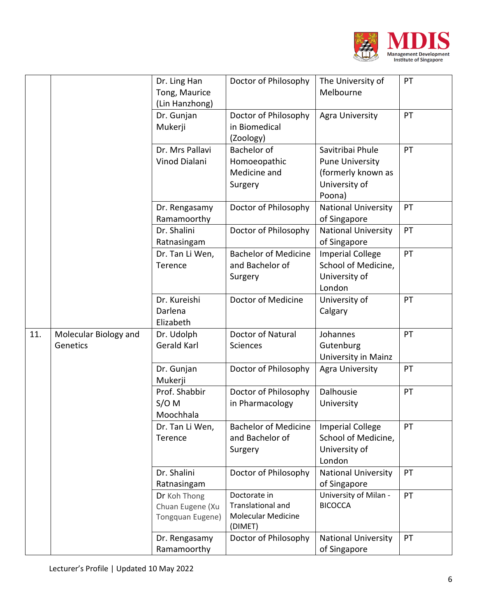

|     |                                   | Dr. Ling Han<br>Tong, Maurice<br>(Lin Hanzhong)      | Doctor of Philosophy                                                             | The University of<br>Melbourne                                                              | PT |
|-----|-----------------------------------|------------------------------------------------------|----------------------------------------------------------------------------------|---------------------------------------------------------------------------------------------|----|
|     |                                   | Dr. Gunjan<br>Mukerji                                | Doctor of Philosophy<br>in Biomedical<br>(Zoology)                               | Agra University                                                                             | PT |
|     |                                   | Dr. Mrs Pallavi<br>Vinod Dialani                     | Bachelor of<br>Homoeopathic<br>Medicine and<br>Surgery                           | Savitribai Phule<br><b>Pune University</b><br>(formerly known as<br>University of<br>Poona) | PT |
|     |                                   | Dr. Rengasamy<br>Ramamoorthy                         | Doctor of Philosophy                                                             | <b>National University</b><br>of Singapore                                                  | PT |
|     |                                   | Dr. Shalini<br>Ratnasingam                           | Doctor of Philosophy                                                             | <b>National University</b><br>of Singapore                                                  | PT |
|     |                                   | Dr. Tan Li Wen,<br>Terence                           | <b>Bachelor of Medicine</b><br>and Bachelor of<br>Surgery                        | <b>Imperial College</b><br>School of Medicine,<br>University of<br>London                   | PT |
|     |                                   | Dr. Kureishi<br>Darlena<br>Elizabeth                 | Doctor of Medicine                                                               | University of<br>Calgary                                                                    | PT |
| 11. | Molecular Biology and<br>Genetics | Dr. Udolph<br>Gerald Karl                            | Doctor of Natural<br><b>Sciences</b>                                             | Johannes<br>Gutenburg<br>University in Mainz                                                | PT |
|     |                                   | Dr. Gunjan<br>Mukerji                                | Doctor of Philosophy                                                             | <b>Agra University</b>                                                                      | PT |
|     |                                   | Prof. Shabbir<br>$S/O$ M<br>Moochhala                | Doctor of Philosophy<br>in Pharmacology                                          | Dalhousie<br>University                                                                     | PT |
|     |                                   | Dr. Tan Li Wen,<br>Terence                           | <b>Bachelor of Medicine</b><br>and Bachelor of<br>Surgery                        | <b>Imperial College</b><br>School of Medicine,<br>University of<br>London                   | PT |
|     |                                   | Dr. Shalini<br>Ratnasingam                           | Doctor of Philosophy                                                             | <b>National University</b><br>of Singapore                                                  | PT |
|     |                                   | Dr Koh Thong<br>Chuan Eugene (Xu<br>Tongquan Eugene) | Doctorate in<br><b>Translational and</b><br><b>Molecular Medicine</b><br>(DIMET) | University of Milan -<br><b>BICOCCA</b>                                                     | PT |
|     |                                   | Dr. Rengasamy<br>Ramamoorthy                         | Doctor of Philosophy                                                             | <b>National University</b><br>of Singapore                                                  | PT |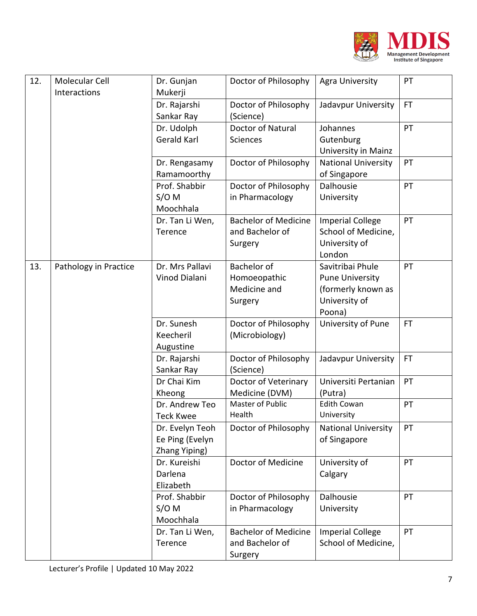

| 12. | Molecular Cell<br>Interactions | Dr. Gunjan<br>Mukerji                               | Doctor of Philosophy                                      | <b>Agra University</b>                                                                      | PT        |
|-----|--------------------------------|-----------------------------------------------------|-----------------------------------------------------------|---------------------------------------------------------------------------------------------|-----------|
|     |                                | Dr. Rajarshi<br>Sankar Ray                          | Doctor of Philosophy<br>(Science)                         | Jadavpur University                                                                         | <b>FT</b> |
|     |                                | Dr. Udolph<br>Gerald Karl                           | Doctor of Natural<br>Sciences                             | Johannes<br>Gutenburg<br>University in Mainz                                                | PT        |
|     |                                | Dr. Rengasamy<br>Ramamoorthy                        | Doctor of Philosophy                                      | <b>National University</b><br>of Singapore                                                  | PT        |
|     |                                | Prof. Shabbir<br>$S/O$ M<br>Moochhala               | Doctor of Philosophy<br>in Pharmacology                   | Dalhousie<br>University                                                                     | PT        |
|     |                                | Dr. Tan Li Wen,<br>Terence                          | <b>Bachelor of Medicine</b><br>and Bachelor of<br>Surgery | <b>Imperial College</b><br>School of Medicine,<br>University of<br>London                   | PT        |
| 13. | Pathology in Practice          | Dr. Mrs Pallavi<br>Vinod Dialani                    | Bachelor of<br>Homoeopathic<br>Medicine and<br>Surgery    | Savitribai Phule<br><b>Pune University</b><br>(formerly known as<br>University of<br>Poona) | PT        |
|     |                                | Dr. Sunesh<br>Keecheril<br>Augustine                | Doctor of Philosophy<br>(Microbiology)                    | University of Pune                                                                          | FT.       |
|     |                                | Dr. Rajarshi<br>Sankar Ray                          | Doctor of Philosophy<br>(Science)                         | Jadavpur University                                                                         | <b>FT</b> |
|     |                                | Dr Chai Kim<br>Kheong                               | Doctor of Veterinary<br>Medicine (DVM)                    | Universiti Pertanian<br>(Putra)                                                             | PT        |
|     |                                | Dr. Andrew Teo<br><b>Teck Kwee</b>                  | <b>Master of Public</b><br>Health                         | <b>Edith Cowan</b><br>University                                                            | PT        |
|     |                                | Dr. Evelyn Teoh<br>Ee Ping (Evelyn<br>Zhang Yiping) | Doctor of Philosophy                                      | <b>National University</b><br>of Singapore                                                  | PT        |
|     |                                | Dr. Kureishi<br>Darlena<br>Elizabeth                | Doctor of Medicine                                        | University of<br>Calgary                                                                    | PT        |
|     |                                | Prof. Shabbir<br>$S/O$ M<br>Moochhala               | Doctor of Philosophy<br>in Pharmacology                   | Dalhousie<br>University                                                                     | PT        |
|     |                                | Dr. Tan Li Wen,<br>Terence                          | <b>Bachelor of Medicine</b><br>and Bachelor of<br>Surgery | <b>Imperial College</b><br>School of Medicine,                                              | PT        |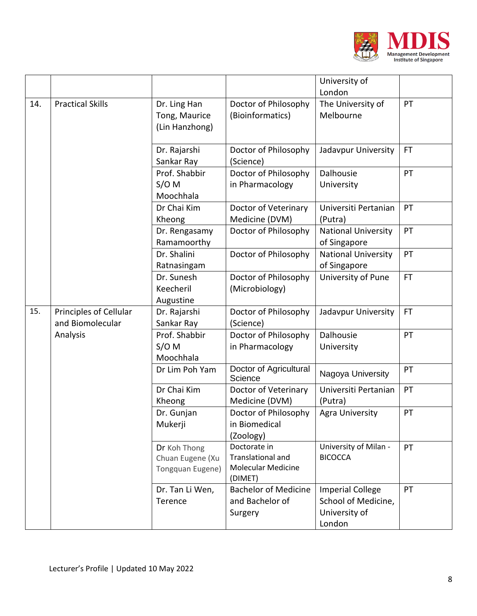

|     |                                            |                                                      |                                                                                  | University of                                                             |           |
|-----|--------------------------------------------|------------------------------------------------------|----------------------------------------------------------------------------------|---------------------------------------------------------------------------|-----------|
| 14. | <b>Practical Skills</b>                    | Dr. Ling Han<br>Tong, Maurice<br>(Lin Hanzhong)      | Doctor of Philosophy<br>(Bioinformatics)                                         | London<br>The University of<br>Melbourne                                  | PT        |
|     |                                            | Dr. Rajarshi<br>Sankar Ray                           | Doctor of Philosophy<br>(Science)                                                | Jadavpur University                                                       | <b>FT</b> |
|     |                                            | Prof. Shabbir<br>$S/O$ M<br>Moochhala                | Doctor of Philosophy<br>in Pharmacology                                          | Dalhousie<br>University                                                   | PT        |
|     |                                            | Dr Chai Kim<br>Kheong                                | Doctor of Veterinary<br>Medicine (DVM)                                           | Universiti Pertanian<br>(Putra)                                           | PT        |
|     |                                            | Dr. Rengasamy<br>Ramamoorthy                         | Doctor of Philosophy                                                             | <b>National University</b><br>of Singapore                                | PT        |
|     |                                            | Dr. Shalini<br>Ratnasingam                           | Doctor of Philosophy                                                             | <b>National University</b><br>of Singapore                                | PT        |
|     |                                            | Dr. Sunesh<br>Keecheril<br>Augustine                 | Doctor of Philosophy<br>(Microbiology)                                           | University of Pune                                                        | <b>FT</b> |
| 15. | Principles of Cellular<br>and Biomolecular | Dr. Rajarshi<br>Sankar Ray                           | Doctor of Philosophy<br>(Science)                                                | Jadavpur University                                                       | <b>FT</b> |
|     | Analysis                                   | Prof. Shabbir<br>$S/O$ M<br>Moochhala                | Doctor of Philosophy<br>in Pharmacology                                          | Dalhousie<br>University                                                   | PT        |
|     |                                            | Dr Lim Poh Yam                                       | Doctor of Agricultural<br>Science                                                | Nagoya University                                                         | PT        |
|     |                                            | Dr Chai Kim<br>Kheong                                | Doctor of Veterinary<br>Medicine (DVM)                                           | Universiti Pertanian<br>(Putra)                                           | PT        |
|     |                                            | Dr. Gunjan<br>Mukerji                                | Doctor of Philosophy<br>in Biomedical<br>(Zoology)                               | <b>Agra University</b>                                                    | PT        |
|     |                                            | Dr Koh Thong<br>Chuan Eugene (Xu<br>Tongquan Eugene) | Doctorate in<br><b>Translational and</b><br><b>Molecular Medicine</b><br>(DIMET) | University of Milan -<br><b>BICOCCA</b>                                   | PT        |
|     |                                            | Dr. Tan Li Wen,<br>Terence                           | <b>Bachelor of Medicine</b><br>and Bachelor of<br>Surgery                        | <b>Imperial College</b><br>School of Medicine,<br>University of<br>London | PT        |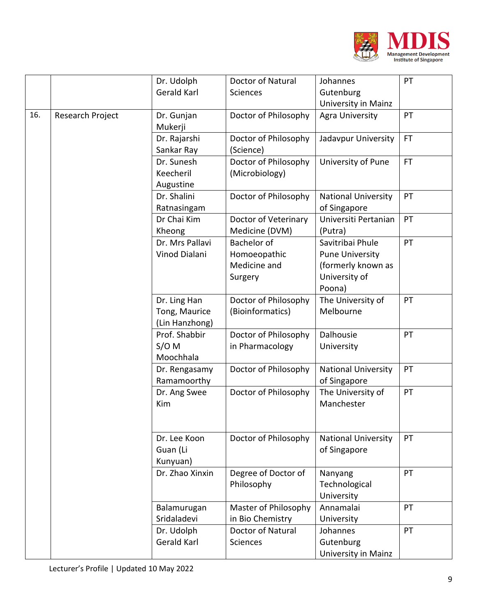

|     |                  | Dr. Udolph                                      | Doctor of Natural                                      | Johannes                                                                                    | PT        |
|-----|------------------|-------------------------------------------------|--------------------------------------------------------|---------------------------------------------------------------------------------------------|-----------|
|     |                  | Gerald Karl                                     | <b>Sciences</b>                                        | Gutenburg                                                                                   |           |
|     |                  |                                                 |                                                        | University in Mainz                                                                         |           |
| 16. | Research Project | Dr. Gunjan<br>Mukerji                           | Doctor of Philosophy                                   | Agra University                                                                             | PT        |
|     |                  | Dr. Rajarshi<br>Sankar Ray                      | Doctor of Philosophy<br>(Science)                      | Jadavpur University                                                                         | <b>FT</b> |
|     |                  | Dr. Sunesh<br>Keecheril<br>Augustine            | Doctor of Philosophy<br>(Microbiology)                 | University of Pune                                                                          | <b>FT</b> |
|     |                  | Dr. Shalini<br>Ratnasingam                      | Doctor of Philosophy                                   | <b>National University</b><br>of Singapore                                                  | PT        |
|     |                  | Dr Chai Kim<br>Kheong                           | Doctor of Veterinary<br>Medicine (DVM)                 | Universiti Pertanian<br>(Putra)                                                             | PT        |
|     |                  | Dr. Mrs Pallavi<br>Vinod Dialani                | Bachelor of<br>Homoeopathic<br>Medicine and<br>Surgery | Savitribai Phule<br><b>Pune University</b><br>(formerly known as<br>University of<br>Poona) | PT        |
|     |                  | Dr. Ling Han<br>Tong, Maurice<br>(Lin Hanzhong) | Doctor of Philosophy<br>(Bioinformatics)               | The University of<br>Melbourne                                                              | PT        |
|     |                  | Prof. Shabbir<br>$S/O$ M<br>Moochhala           | Doctor of Philosophy<br>in Pharmacology                | Dalhousie<br>University                                                                     | PT        |
|     |                  | Dr. Rengasamy<br>Ramamoorthy                    | Doctor of Philosophy                                   | <b>National University</b><br>of Singapore                                                  | PT        |
|     |                  | Dr. Ang Swee<br>Kim                             | Doctor of Philosophy                                   | The University of<br>Manchester                                                             | PT        |
|     |                  | Dr. Lee Koon<br>Guan (Li<br>Kunyuan)            | Doctor of Philosophy                                   | <b>National University</b><br>of Singapore                                                  | PT        |
|     |                  | Dr. Zhao Xinxin                                 | Degree of Doctor of<br>Philosophy                      | Nanyang<br>Technological<br>University                                                      | PT        |
|     |                  | Balamurugan<br>Sridaladevi                      | Master of Philosophy<br>in Bio Chemistry               | Annamalai<br>University                                                                     | PT        |
|     |                  | Dr. Udolph<br>Gerald Karl                       | Doctor of Natural<br><b>Sciences</b>                   | Johannes<br>Gutenburg<br>University in Mainz                                                | PT        |